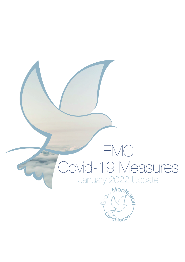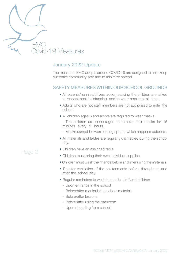

### January 2022 Update

The measures EMC adopts around COVID-19 are designed to help keep our entire community safe and to minimize spread.

#### SAFETY MEASURES WITHIN OUR SCHOOL GROUNDS

- All parents/nannies/drivers accompanying the children are asked to respect social distancing, and to wear masks at all times.
- Adults who are not staff members are not authorized to enter the school.
- All children ages 6 and above are required to wear masks.

- The children are encouraged to remove their masks for 15 minutes every 2 hours.

- Masks cannot be worn during sports, which happens outdoors.
- All materials and tables are regularly disinfected during the school day.
- Children have an assigned table.
- Children must bring their own individual supplies.
- Children must wash their hands before and after using the materials.
- Regular ventilation of the environments before, throughout, and after the school day.
- Regular reminders to wash hands for staff and children
	- Upon entrance in the school
	- Before/after manipulating school materials
	- Before/after lessons
	- Before/after using the bathroom
	- Upon departing from school

# Page 2